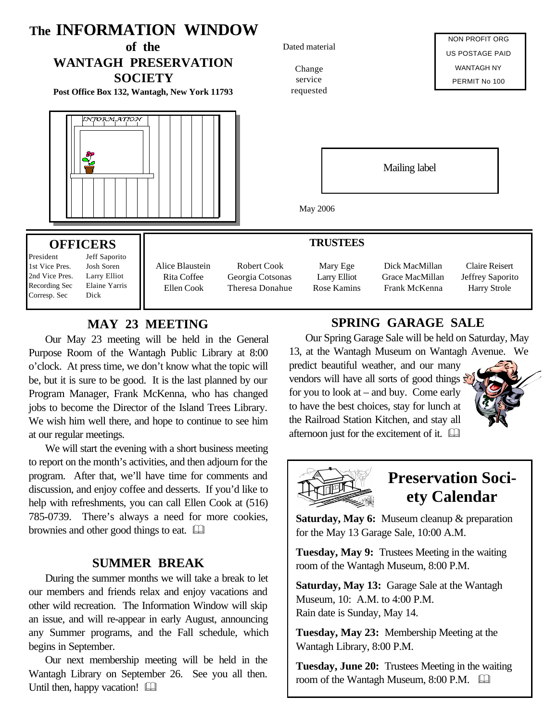

### **MAY 23 MEETING**

Our May 23 meeting will be held in the General Purpose Room of the Wantagh Public Library at 8:00 o'clock. At press time, we don't know what the topic will be, but it is sure to be good. It is the last planned by our Program Manager, Frank McKenna, who has changed jobs to become the Director of the Island Trees Library. We wish him well there, and hope to continue to see him at our regular meetings.

We will start the evening with a short business meeting to report on the month's activities, and then adjourn for the program. After that, we'll have time for comments and discussion, and enjoy coffee and desserts. If you'd like to help with refreshments, you can call Ellen Cook at (516) 785-0739. There's always a need for more cookies, brownies and other good things to eat.  $\Box$ 

#### **SUMMER BREAK**

During the summer months we will take a break to let our members and friends relax and enjoy vacations and other wild recreation. The Information Window will skip an issue, and will re-appear in early August, announcing any Summer programs, and the Fall schedule, which begins in September.

Our next membership meeting will be held in the Wantagh Library on September 26. See you all then. Until then, happy vacation!  $\Box$ 

### **SPRING GARAGE SALE**

Our Spring Garage Sale will be held on Saturday, May 13, at the Wantagh Museum on Wantagh Avenue. We

predict beautiful weather, and our many vendors will have all sorts of good things  $\frac{1}{2}$ for you to look at – and buy. Come early to have the best choices, stay for lunch at the Railroad Station Kitchen, and stay all afternoon just for the excitement of it.  $\Box$ 





# **Preservation Society Calendar**

**Saturday, May 6:** Museum cleanup & preparation for the May 13 Garage Sale, 10:00 A.M.

**Tuesday, May 9:** Trustees Meeting in the waiting room of the Wantagh Museum, 8:00 P.M.

**Saturday, May 13:** Garage Sale at the Wantagh Museum, 10: A.M. to 4:00 P.M. Rain date is Sunday, May 14.

**Tuesday, May 23:** Membership Meeting at the Wantagh Library, 8:00 P.M.

**Tuesday, June 20:** Trustees Meeting in the waiting room of the Wantagh Museum, 8:00 P.M.  $\Box$